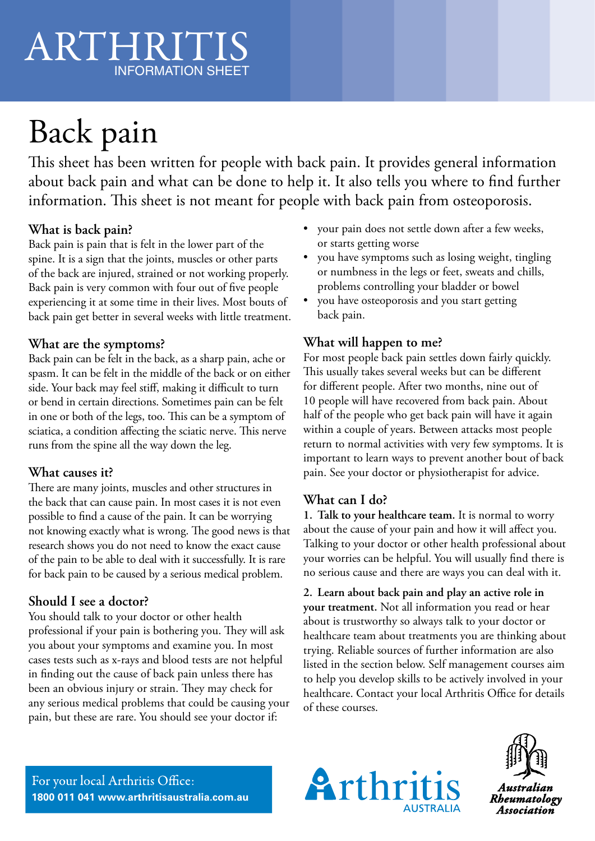## ARTHRITIS INFORMATION SHEET

## Back pain ARTHRITIS INFORMATION SHEET

This sheet has been written for people with back pain. It provides general information about back pain and what can be done to help it. It also tells you where to find further information. This sheet is not meant for people with back pain from osteoporosis.

#### **What is back pain?**

Back pain is pain that is felt in the lower part of the spine. It is a sign that the joints, muscles or other parts of the back are injured, strained or not working properly. Back pain is very common with four out of five people experiencing it at some time in their lives. Most bouts of back pain get better in several weeks with little treatment.

#### **What are the symptoms?**

Back pain can be felt in the back, as a sharp pain, ache or spasm. It can be felt in the middle of the back or on either side. Your back may feel stiff, making it difficult to turn or bend in certain directions. Sometimes pain can be felt in one or both of the legs, too. This can be a symptom of sciatica, a condition affecting the sciatic nerve. This nerve runs from the spine all the way down the leg.

#### **What causes it?**

There are many joints, muscles and other structures in the back that can cause pain. In most cases it is not even possible to find a cause of the pain. It can be worrying not knowing exactly what is wrong. The good news is that research shows you do not need to know the exact cause of the pain to be able to deal with it successfully. It is rare for back pain to be caused by a serious medical problem.

#### **Should I see a doctor?**

You should talk to your doctor or other health professional if your pain is bothering you. They will ask you about your symptoms and examine you. In most cases tests such as x-rays and blood tests are not helpful in finding out the cause of back pain unless there has been an obvious injury or strain. They may check for any serious medical problems that could be causing your pain, but these are rare. You should see your doctor if:

- your pain does not settle down after a few weeks, or starts getting worse
- you have symptoms such as losing weight, tingling or numbness in the legs or feet, sweats and chills, problems controlling your bladder or bowel
- you have osteoporosis and you start getting back pain.

#### **What will happen to me?**

For most people back pain settles down fairly quickly. This usually takes several weeks but can be different for different people. After two months, nine out of 10 people will have recovered from back pain. About half of the people who get back pain will have it again within a couple of years. Between attacks most people return to normal activities with very few symptoms. It is important to learn ways to prevent another bout of back pain. See your doctor or physiotherapist for advice.

#### **What can I do?**

**1. Talk to your healthcare team.** It is normal to worry about the cause of your pain and how it will affect you. Talking to your doctor or other health professional about your worries can be helpful. You will usually find there is no serious cause and there are ways you can deal with it.

**2. Learn about back pain and play an active role in your treatment.** Not all information you read or hear about is trustworthy so always talk to your doctor or healthcare team about treatments you are thinking about trying. Reliable sources of further information are also listed in the section below. Self management courses aim to help you develop skills to be actively involved in your healthcare. Contact your local Arthritis Office for details of these courses.

For your local Arthritis Office: **1800 011 041 www.arthritisaustralia.com.au**